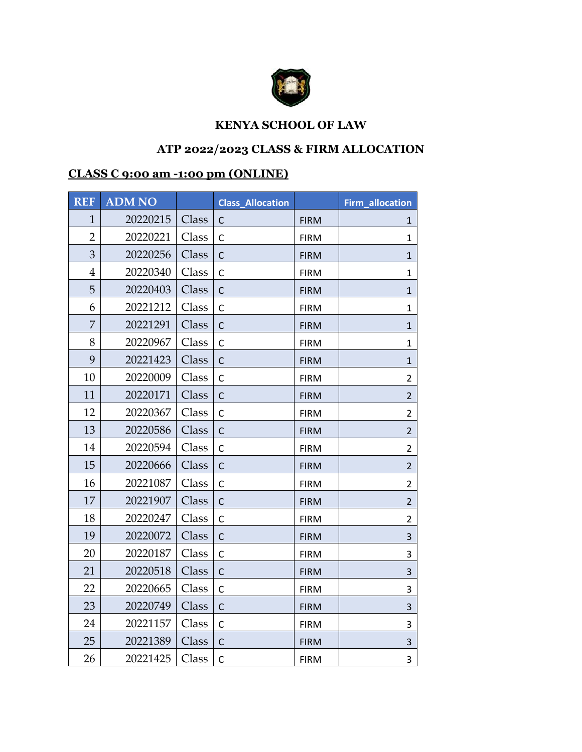

## **KENYA SCHOOL OF LAW**

## **ATP 2022/2023 CLASS & FIRM ALLOCATION**

## **CLASS C 9:00 am -1:00 pm (ONLINE)**

| <b>REF</b>     | <b>ADM NO</b> |       | <b>Class_Allocation</b> |             | <b>Firm_allocation</b> |
|----------------|---------------|-------|-------------------------|-------------|------------------------|
| $\mathbf{1}$   | 20220215      | Class | $\mathsf{C}$            | <b>FIRM</b> | 1                      |
| $\overline{2}$ | 20220221      | Class | $\mathsf{C}$            | <b>FIRM</b> | 1                      |
| 3              | 20220256      | Class | C                       | <b>FIRM</b> | $\mathbf{1}$           |
| $\overline{4}$ | 20220340      | Class | $\mathsf{C}$            | <b>FIRM</b> | $\mathbf{1}$           |
| 5              | 20220403      | Class | $\mathsf{C}$            | <b>FIRM</b> | $\mathbf{1}$           |
| 6              | 20221212      | Class | $\mathsf{C}$            | <b>FIRM</b> | 1                      |
| 7              | 20221291      | Class | $\mathsf{C}$            | <b>FIRM</b> | 1                      |
| 8              | 20220967      | Class | $\mathsf{C}$            | <b>FIRM</b> | $\mathbf{1}$           |
| 9              | 20221423      | Class | $\mathsf{C}$            | <b>FIRM</b> | $\mathbf{1}$           |
| 10             | 20220009      | Class | $\mathsf{C}$            | <b>FIRM</b> | $\overline{2}$         |
| 11             | 20220171      | Class | $\mathsf{C}$            | <b>FIRM</b> | $\overline{2}$         |
| 12             | 20220367      | Class | $\mathsf{C}$            | <b>FIRM</b> | $\overline{2}$         |
| 13             | 20220586      | Class | $\mathsf{C}$            | <b>FIRM</b> | $\overline{2}$         |
| 14             | 20220594      | Class | $\mathsf{C}$            | <b>FIRM</b> | $\overline{2}$         |
| 15             | 20220666      | Class | $\mathsf{C}$            | <b>FIRM</b> | $\overline{2}$         |
| 16             | 20221087      | Class | $\mathsf C$             | <b>FIRM</b> | $\overline{2}$         |
| 17             | 20221907      | Class | $\mathsf{C}$            | <b>FIRM</b> | $\overline{2}$         |
| 18             | 20220247      | Class | $\mathsf{C}$            | <b>FIRM</b> | $\overline{2}$         |
| 19             | 20220072      | Class | $\mathsf{C}$            | <b>FIRM</b> | $\mathsf{3}$           |
| 20             | 20220187      | Class | $\mathsf{C}$            | <b>FIRM</b> | 3                      |
| 21             | 20220518      | Class | $\mathsf C$             | <b>FIRM</b> | $\mathsf{3}$           |
| 22             | 20220665      | Class | $\mathsf{C}$            | <b>FIRM</b> | 3                      |
| 23             | 20220749      | Class | $\mathsf{C}$            | <b>FIRM</b> | $\mathsf{3}$           |
| 24             | 20221157      | Class | $\mathsf C$             | <b>FIRM</b> | 3                      |
| 25             | 20221389      | Class | $\mathsf{C}$            | <b>FIRM</b> | $\mathsf{3}$           |
| 26             | 20221425      | Class | $\mathsf{C}$            | <b>FIRM</b> | 3                      |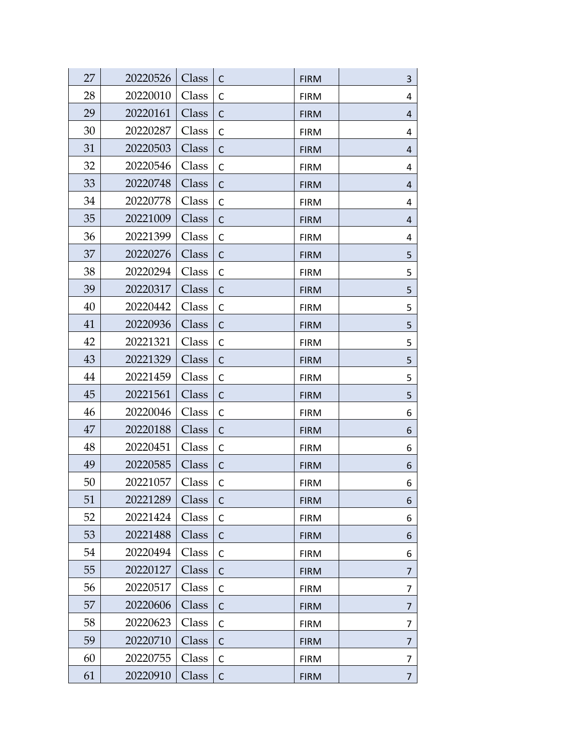| 27 | 20220526 | Class | C            | <b>FIRM</b> | 3              |
|----|----------|-------|--------------|-------------|----------------|
| 28 | 20220010 | Class | C            | <b>FIRM</b> | 4              |
| 29 | 20220161 | Class | C            | <b>FIRM</b> | 4              |
| 30 | 20220287 | Class | С            | <b>FIRM</b> | 4              |
| 31 | 20220503 | Class | $\mathsf{C}$ | <b>FIRM</b> | 4              |
| 32 | 20220546 | Class | C            | <b>FIRM</b> | 4              |
| 33 | 20220748 | Class | $\mathsf{C}$ | <b>FIRM</b> | $\overline{4}$ |
| 34 | 20220778 | Class | $\mathsf{C}$ | <b>FIRM</b> | 4              |
| 35 | 20221009 | Class | $\mathsf{C}$ | <b>FIRM</b> | 4              |
| 36 | 20221399 | Class | $\mathsf{C}$ | <b>FIRM</b> | 4              |
| 37 | 20220276 | Class | $\mathsf{C}$ | <b>FIRM</b> | 5              |
| 38 | 20220294 | Class | $\mathsf{C}$ | <b>FIRM</b> | 5              |
| 39 | 20220317 | Class | $\mathsf{C}$ | <b>FIRM</b> | 5              |
| 40 | 20220442 | Class | $\mathsf{C}$ | <b>FIRM</b> | 5              |
| 41 | 20220936 | Class | C            | <b>FIRM</b> | 5              |
| 42 | 20221321 | Class | C            | <b>FIRM</b> | 5              |
| 43 | 20221329 | Class | C            | <b>FIRM</b> | 5              |
| 44 | 20221459 | Class | $\mathsf{C}$ | <b>FIRM</b> | 5              |
| 45 | 20221561 | Class | C            | <b>FIRM</b> | 5              |
| 46 | 20220046 | Class | $\mathsf C$  | <b>FIRM</b> | 6              |
| 47 | 20220188 | Class | $\mathsf{C}$ | <b>FIRM</b> | 6              |
| 48 | 20220451 | Class | $\mathsf{C}$ | <b>FIRM</b> | 6              |
| 49 | 20220585 | Class | $\mathsf{C}$ | <b>FIRM</b> | 6              |
| 50 | 20221057 | Class | $\mathsf{C}$ | <b>FIRM</b> | 6              |
| 51 | 20221289 | Class | C            | <b>FIRM</b> | 6              |
| 52 | 20221424 | Class | C            | <b>FIRM</b> | 6              |
| 53 | 20221488 | Class | C            | <b>FIRM</b> | 6              |
| 54 | 20220494 | Class | C            | <b>FIRM</b> | 6              |
| 55 | 20220127 | Class | C            | <b>FIRM</b> | 7              |
| 56 | 20220517 | Class | $\mathsf{C}$ | <b>FIRM</b> | 7              |
| 57 | 20220606 | Class | C            | <b>FIRM</b> | 7              |
| 58 | 20220623 | Class | $\mathsf C$  | <b>FIRM</b> | 7              |
| 59 | 20220710 | Class | $\mathsf{C}$ | <b>FIRM</b> | 7              |
| 60 | 20220755 | Class | $\mathsf{C}$ | <b>FIRM</b> | 7              |
| 61 | 20220910 | Class | $\mathsf C$  | <b>FIRM</b> | $\overline{7}$ |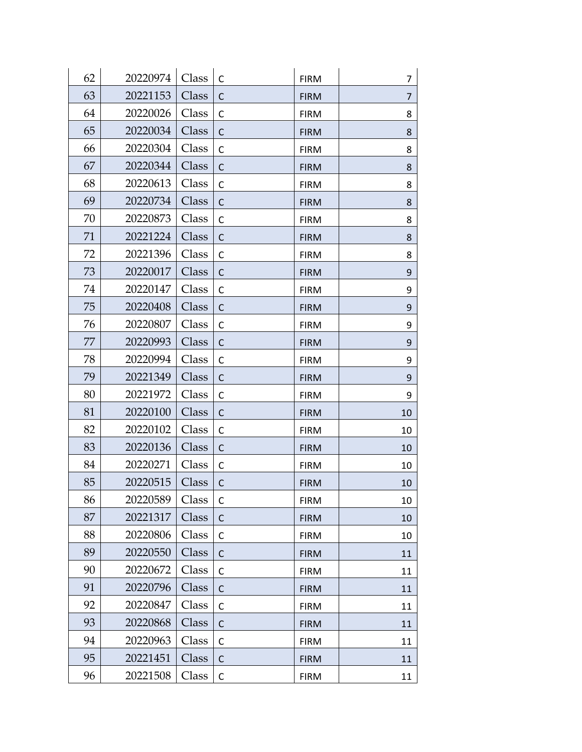| 62 | 20220974 | Class | C            | <b>FIRM</b> | 7  |
|----|----------|-------|--------------|-------------|----|
| 63 | 20221153 | Class | C            | <b>FIRM</b> | 7  |
| 64 | 20220026 | Class | C            | <b>FIRM</b> | 8  |
| 65 | 20220034 | Class | C            | <b>FIRM</b> | 8  |
| 66 | 20220304 | Class | C            | <b>FIRM</b> | 8  |
| 67 | 20220344 | Class | C            | <b>FIRM</b> | 8  |
| 68 | 20220613 | Class | $\mathsf{C}$ | <b>FIRM</b> | 8  |
| 69 | 20220734 | Class | $\mathsf{C}$ | <b>FIRM</b> | 8  |
| 70 | 20220873 | Class | $\mathsf{C}$ | <b>FIRM</b> | 8  |
| 71 | 20221224 | Class | $\mathsf{C}$ | <b>FIRM</b> | 8  |
| 72 | 20221396 | Class | $\mathsf{C}$ | <b>FIRM</b> | 8  |
| 73 | 20220017 | Class | $\mathsf{C}$ | <b>FIRM</b> | 9  |
| 74 | 20220147 | Class | $\mathsf{C}$ | <b>FIRM</b> | 9  |
| 75 | 20220408 | Class | $\mathsf{C}$ | <b>FIRM</b> | 9  |
| 76 | 20220807 | Class | C            | <b>FIRM</b> | 9  |
| 77 | 20220993 | Class | C            | <b>FIRM</b> | 9  |
| 78 | 20220994 | Class | C            | <b>FIRM</b> | 9  |
| 79 | 20221349 | Class | $\mathsf{C}$ | <b>FIRM</b> | 9  |
| 80 | 20221972 | Class | C            | <b>FIRM</b> | 9  |
| 81 | 20220100 | Class | $\mathsf{C}$ | <b>FIRM</b> | 10 |
| 82 | 20220102 | Class | $\mathsf{C}$ | <b>FIRM</b> | 10 |
| 83 | 20220136 | Class | $\mathsf{C}$ | <b>FIRM</b> | 10 |
| 84 | 20220271 | Class | $\mathsf{C}$ | <b>FIRM</b> | 10 |
| 85 | 20220515 | Class | $\mathsf{C}$ | <b>FIRM</b> | 10 |
| 86 | 20220589 | Class | C            | <b>FIRM</b> | 10 |
| 87 | 20221317 | Class | $\mathsf{C}$ | <b>FIRM</b> | 10 |
| 88 | 20220806 | Class | C            | <b>FIRM</b> | 10 |
| 89 | 20220550 | Class | C            | <b>FIRM</b> | 11 |
| 90 | 20220672 | Class | $\mathsf{C}$ | <b>FIRM</b> | 11 |
| 91 | 20220796 | Class | $\mathsf{C}$ | <b>FIRM</b> | 11 |
| 92 | 20220847 | Class | $\mathsf{C}$ | <b>FIRM</b> | 11 |
| 93 | 20220868 | Class | $\mathsf{C}$ | <b>FIRM</b> | 11 |
| 94 | 20220963 | Class | $\mathsf{C}$ | <b>FIRM</b> | 11 |
| 95 | 20221451 | Class | $\mathsf{C}$ | <b>FIRM</b> | 11 |
| 96 | 20221508 | Class | $\mathsf C$  | <b>FIRM</b> | 11 |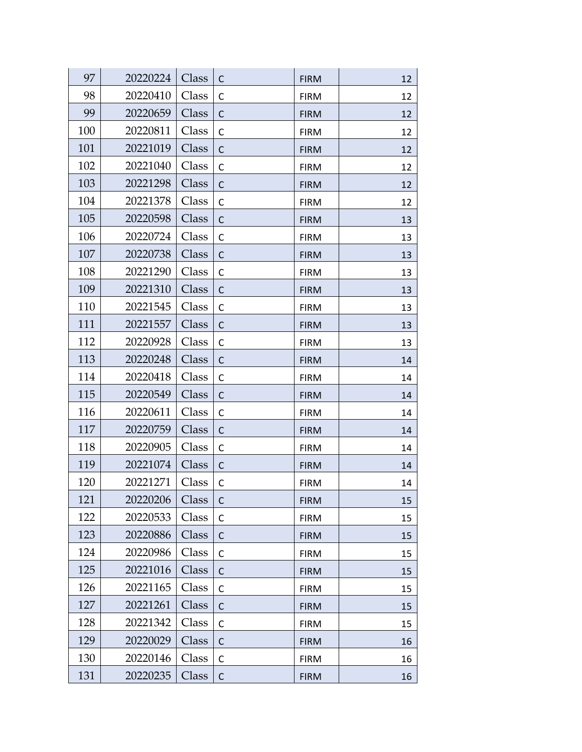| 97  | 20220224 | Class | C            | <b>FIRM</b> | 12 |
|-----|----------|-------|--------------|-------------|----|
| 98  | 20220410 | Class | $\mathsf{C}$ | <b>FIRM</b> | 12 |
| 99  | 20220659 | Class | C            | <b>FIRM</b> | 12 |
| 100 | 20220811 | Class | C            | <b>FIRM</b> | 12 |
| 101 | 20221019 | Class | $\mathsf{C}$ | <b>FIRM</b> | 12 |
| 102 | 20221040 | Class | $\mathsf C$  | <b>FIRM</b> | 12 |
| 103 | 20221298 | Class | $\mathsf C$  | <b>FIRM</b> | 12 |
| 104 | 20221378 | Class | $\mathsf{C}$ | <b>FIRM</b> | 12 |
| 105 | 20220598 | Class | $\mathsf{C}$ | <b>FIRM</b> | 13 |
| 106 | 20220724 | Class | $\mathsf C$  | <b>FIRM</b> | 13 |
| 107 | 20220738 | Class | $\mathsf{C}$ | <b>FIRM</b> | 13 |
| 108 | 20221290 | Class | $\mathsf{C}$ | <b>FIRM</b> | 13 |
| 109 | 20221310 | Class | $\mathsf{C}$ | <b>FIRM</b> | 13 |
| 110 | 20221545 | Class | $\mathsf{C}$ | <b>FIRM</b> | 13 |
| 111 | 20221557 | Class | $\mathsf{C}$ | <b>FIRM</b> | 13 |
| 112 | 20220928 | Class | C            | <b>FIRM</b> | 13 |
| 113 | 20220248 | Class | $\mathsf{C}$ | <b>FIRM</b> | 14 |
| 114 | 20220418 | Class | $\mathsf{C}$ | <b>FIRM</b> | 14 |
| 115 | 20220549 | Class | $\mathsf{C}$ | <b>FIRM</b> | 14 |
| 116 | 20220611 | Class | $\mathsf C$  | <b>FIRM</b> | 14 |
| 117 | 20220759 | Class | $\mathsf{C}$ | <b>FIRM</b> | 14 |
| 118 | 20220905 | Class | $\mathsf{C}$ | <b>FIRM</b> | 14 |
| 119 | 20221074 | Class | $\mathsf{C}$ | <b>FIRM</b> | 14 |
| 120 | 20221271 | Class | $\mathsf{C}$ | <b>FIRM</b> | 14 |
| 121 | 20220206 | Class | $\mathsf{C}$ | <b>FIRM</b> | 15 |
| 122 | 20220533 | Class | C            | <b>FIRM</b> | 15 |
| 123 | 20220886 | Class | C            | <b>FIRM</b> | 15 |
| 124 | 20220986 | Class | C            | <b>FIRM</b> | 15 |
| 125 | 20221016 | Class | $\mathsf{C}$ | <b>FIRM</b> | 15 |
| 126 | 20221165 | Class | $\mathsf{C}$ | <b>FIRM</b> | 15 |
| 127 | 20221261 | Class | C            | <b>FIRM</b> | 15 |
| 128 | 20221342 | Class | $\mathsf C$  | <b>FIRM</b> | 15 |
| 129 | 20220029 | Class | $\mathsf{C}$ | <b>FIRM</b> | 16 |
| 130 | 20220146 | Class | $\mathsf{C}$ | <b>FIRM</b> | 16 |
| 131 | 20220235 | Class | $\mathsf C$  | <b>FIRM</b> | 16 |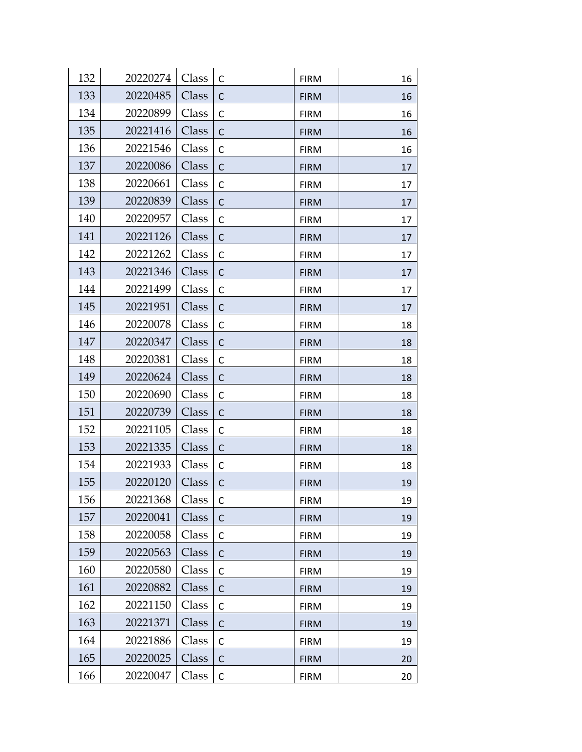| 132 | 20220274 | Class | C            | <b>FIRM</b> | 16 |
|-----|----------|-------|--------------|-------------|----|
| 133 | 20220485 | Class | C            | <b>FIRM</b> | 16 |
| 134 | 20220899 | Class | $\mathsf{C}$ | <b>FIRM</b> | 16 |
| 135 | 20221416 | Class | C            | <b>FIRM</b> | 16 |
| 136 | 20221546 | Class | $\mathsf{C}$ | <b>FIRM</b> | 16 |
| 137 | 20220086 | Class | C            | <b>FIRM</b> | 17 |
| 138 | 20220661 | Class | $\mathsf{C}$ | <b>FIRM</b> | 17 |
| 139 | 20220839 | Class | $\mathsf{C}$ | <b>FIRM</b> | 17 |
| 140 | 20220957 | Class | $\mathsf{C}$ | <b>FIRM</b> | 17 |
| 141 | 20221126 | Class | $\mathsf{C}$ | <b>FIRM</b> | 17 |
| 142 | 20221262 | Class | $\mathsf{C}$ | <b>FIRM</b> | 17 |
| 143 | 20221346 | Class | $\mathsf{C}$ | <b>FIRM</b> | 17 |
| 144 | 20221499 | Class | $\mathsf{C}$ | <b>FIRM</b> | 17 |
| 145 | 20221951 | Class | $\mathsf{C}$ | <b>FIRM</b> | 17 |
| 146 | 20220078 | Class | C            | <b>FIRM</b> | 18 |
| 147 | 20220347 | Class | C            | <b>FIRM</b> | 18 |
| 148 | 20220381 | Class | $\mathsf{C}$ | <b>FIRM</b> | 18 |
| 149 | 20220624 | Class | $\mathsf{C}$ | <b>FIRM</b> | 18 |
| 150 | 20220690 | Class | C            | <b>FIRM</b> | 18 |
| 151 | 20220739 | Class | $\mathsf{C}$ | <b>FIRM</b> | 18 |
| 152 | 20221105 | Class | C            | <b>FIRM</b> | 18 |
| 153 | 20221335 | Class | $\mathsf{C}$ | <b>FIRM</b> | 18 |
| 154 | 20221933 | Class | $\mathsf{C}$ | <b>FIRM</b> | 18 |
| 155 | 20220120 | Class | $\mathsf{C}$ | <b>FIRM</b> | 19 |
| 156 | 20221368 | Class | C            | <b>FIRM</b> | 19 |
| 157 | 20220041 | Class | $\mathsf{C}$ | <b>FIRM</b> | 19 |
| 158 | 20220058 | Class | C            | <b>FIRM</b> | 19 |
| 159 | 20220563 | Class | C            | <b>FIRM</b> | 19 |
| 160 | 20220580 | Class | $\mathsf{C}$ | <b>FIRM</b> | 19 |
| 161 | 20220882 | Class | $\mathsf{C}$ | <b>FIRM</b> | 19 |
| 162 | 20221150 | Class | $\mathsf{C}$ | <b>FIRM</b> | 19 |
| 163 | 20221371 | Class | $\mathsf{C}$ | <b>FIRM</b> | 19 |
| 164 | 20221886 | Class | C            | <b>FIRM</b> | 19 |
| 165 | 20220025 | Class | $\mathsf{C}$ | <b>FIRM</b> | 20 |
| 166 | 20220047 | Class | $\mathsf C$  | <b>FIRM</b> | 20 |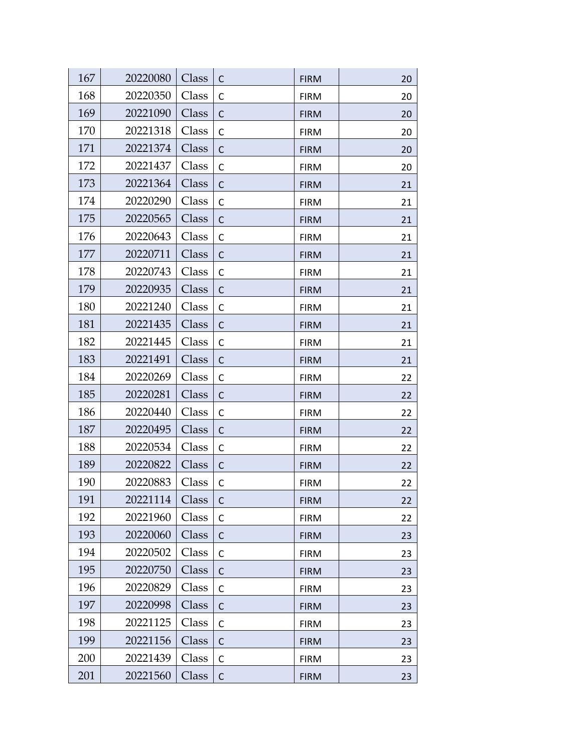| 167 | 20220080 | Class | C            | <b>FIRM</b> | 20 |
|-----|----------|-------|--------------|-------------|----|
| 168 | 20220350 | Class | $\mathsf{C}$ | <b>FIRM</b> | 20 |
| 169 | 20221090 | Class | C            | <b>FIRM</b> | 20 |
| 170 | 20221318 | Class | C            | <b>FIRM</b> | 20 |
| 171 | 20221374 | Class | $\mathsf{C}$ | <b>FIRM</b> | 20 |
| 172 | 20221437 | Class | C            | <b>FIRM</b> | 20 |
| 173 | 20221364 | Class | $\mathsf{C}$ | <b>FIRM</b> | 21 |
| 174 | 20220290 | Class | $\mathsf{C}$ | <b>FIRM</b> | 21 |
| 175 | 20220565 | Class | $\mathsf{C}$ | <b>FIRM</b> | 21 |
| 176 | 20220643 | Class | $\mathsf{C}$ | <b>FIRM</b> | 21 |
| 177 | 20220711 | Class | $\mathsf{C}$ | <b>FIRM</b> | 21 |
| 178 | 20220743 | Class | $\mathsf{C}$ | <b>FIRM</b> | 21 |
| 179 | 20220935 | Class | $\mathsf{C}$ | <b>FIRM</b> | 21 |
| 180 | 20221240 | Class | $\mathsf{C}$ | <b>FIRM</b> | 21 |
| 181 | 20221435 | Class | C            | <b>FIRM</b> | 21 |
| 182 | 20221445 | Class | $\mathsf{C}$ | <b>FIRM</b> | 21 |
| 183 | 20221491 | Class | C            | <b>FIRM</b> | 21 |
| 184 | 20220269 | Class | $\mathsf{C}$ | <b>FIRM</b> | 22 |
| 185 | 20220281 | Class | C            | <b>FIRM</b> | 22 |
| 186 | 20220440 | Class | $\mathsf C$  | <b>FIRM</b> | 22 |
| 187 | 20220495 | Class | $\mathsf{C}$ | <b>FIRM</b> | 22 |
| 188 | 20220534 | Class | $\mathsf{C}$ | <b>FIRM</b> | 22 |
| 189 | 20220822 | Class | $\mathsf{C}$ | <b>FIRM</b> | 22 |
| 190 | 20220883 | Class | $\mathsf{C}$ | <b>FIRM</b> | 22 |
| 191 | 20221114 | Class | C            | <b>FIRM</b> | 22 |
| 192 | 20221960 | Class | $\mathsf C$  | <b>FIRM</b> | 22 |
| 193 | 20220060 | Class | C            | <b>FIRM</b> | 23 |
| 194 | 20220502 | Class | $\mathsf{C}$ | <b>FIRM</b> | 23 |
| 195 | 20220750 | Class | C            | <b>FIRM</b> | 23 |
| 196 | 20220829 | Class | $\mathsf{C}$ | <b>FIRM</b> | 23 |
| 197 | 20220998 | Class | C            | <b>FIRM</b> | 23 |
| 198 | 20221125 | Class | $\mathsf C$  | <b>FIRM</b> | 23 |
| 199 | 20221156 | Class | $\mathsf C$  | <b>FIRM</b> | 23 |
| 200 | 20221439 | Class | $\mathsf{C}$ | <b>FIRM</b> | 23 |
| 201 | 20221560 | Class | $\mathsf C$  | <b>FIRM</b> | 23 |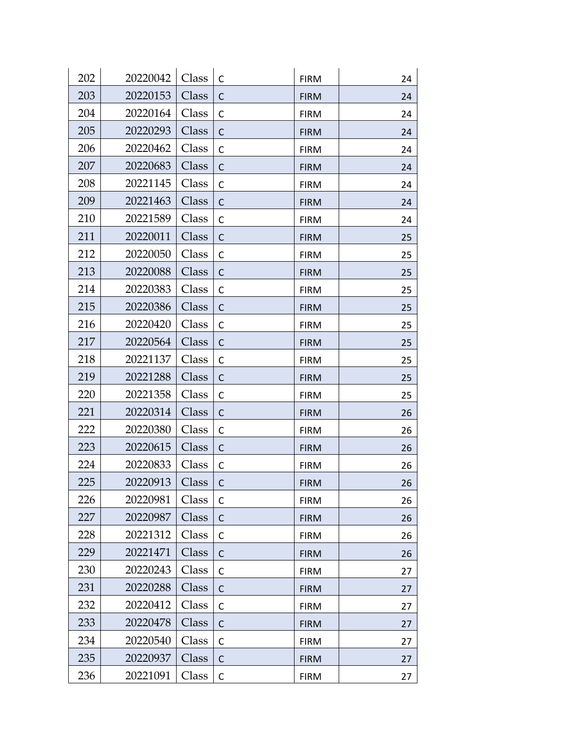| 202 | 20220042 | Class | C            | <b>FIRM</b> | 24 |
|-----|----------|-------|--------------|-------------|----|
| 203 | 20220153 | Class | $\mathsf{C}$ | <b>FIRM</b> | 24 |
| 204 | 20220164 | Class | C            | <b>FIRM</b> | 24 |
| 205 | 20220293 | Class | C            | <b>FIRM</b> | 24 |
| 206 | 20220462 | Class | С            | <b>FIRM</b> | 24 |
| 207 | 20220683 | Class | C            | <b>FIRM</b> | 24 |
| 208 | 20221145 | Class | $\mathsf{C}$ | <b>FIRM</b> | 24 |
| 209 | 20221463 | Class | C            | <b>FIRM</b> | 24 |
| 210 | 20221589 | Class | $\mathsf C$  | <b>FIRM</b> | 24 |
| 211 | 20220011 | Class | $\mathsf{C}$ | <b>FIRM</b> | 25 |
| 212 | 20220050 | Class | $\mathsf{C}$ | <b>FIRM</b> | 25 |
| 213 | 20220088 | Class | $\mathsf{C}$ | <b>FIRM</b> | 25 |
| 214 | 20220383 | Class | $\mathsf{C}$ | <b>FIRM</b> | 25 |
| 215 | 20220386 | Class | $\mathsf{C}$ | <b>FIRM</b> | 25 |
| 216 | 20220420 | Class | C            | <b>FIRM</b> | 25 |
| 217 | 20220564 | Class | C            | <b>FIRM</b> | 25 |
| 218 | 20221137 | Class | С            | <b>FIRM</b> | 25 |
| 219 | 20221288 | Class | $\mathsf{C}$ | <b>FIRM</b> | 25 |
| 220 | 20221358 | Class | С            | <b>FIRM</b> | 25 |
| 221 | 20220314 | Class | C            | <b>FIRM</b> | 26 |
| 222 | 20220380 | Class | C            | <b>FIRM</b> | 26 |
| 223 | 20220615 | Class | $\mathsf{C}$ | <b>FIRM</b> | 26 |
| 224 | 20220833 | Class | C            | <b>FIRM</b> | 26 |
| 225 | 20220913 | Class | $\mathsf{C}$ | <b>FIRM</b> | 26 |
| 226 | 20220981 | Class | C            | <b>FIRM</b> | 26 |
| 227 | 20220987 | Class | $\mathsf{C}$ | <b>FIRM</b> | 26 |
| 228 | 20221312 | Class | C            | <b>FIRM</b> | 26 |
| 229 | 20221471 | Class | C            | <b>FIRM</b> | 26 |
| 230 | 20220243 | Class | С            | <b>FIRM</b> | 27 |
| 231 | 20220288 | Class | $\mathsf{C}$ | <b>FIRM</b> | 27 |
| 232 | 20220412 | Class | C            | <b>FIRM</b> | 27 |
| 233 | 20220478 | Class | $\mathsf{C}$ | <b>FIRM</b> | 27 |
| 234 | 20220540 | Class | C            | <b>FIRM</b> | 27 |
| 235 | 20220937 | Class | $\mathsf{C}$ | <b>FIRM</b> | 27 |
| 236 | 20221091 | Class | $\mathsf C$  | <b>FIRM</b> | 27 |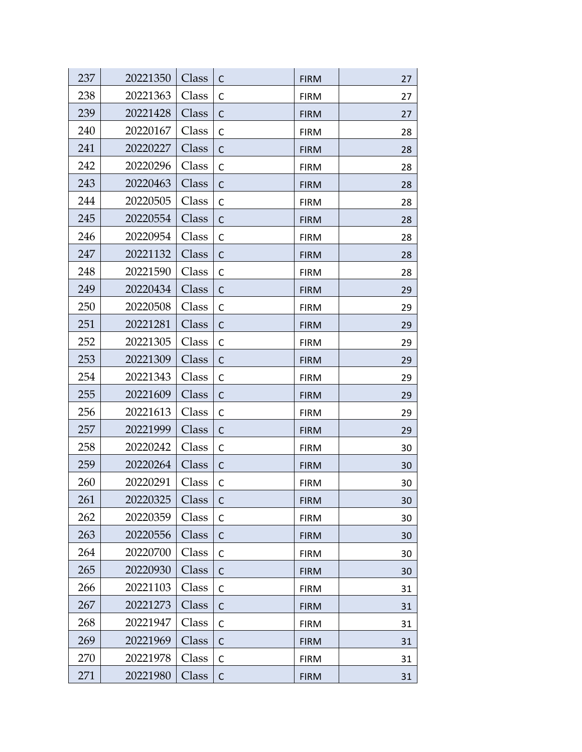| 237 | 20221350 | Class | C            | <b>FIRM</b> | 27 |
|-----|----------|-------|--------------|-------------|----|
| 238 | 20221363 | Class | C            | <b>FIRM</b> | 27 |
| 239 | 20221428 | Class | C            | <b>FIRM</b> | 27 |
| 240 | 20220167 | Class | С            | <b>FIRM</b> | 28 |
| 241 | 20220227 | Class | $\mathsf{C}$ | <b>FIRM</b> | 28 |
| 242 | 20220296 | Class | C            | <b>FIRM</b> | 28 |
| 243 | 20220463 | Class | $\mathsf{C}$ | <b>FIRM</b> | 28 |
| 244 | 20220505 | Class | C            | <b>FIRM</b> | 28 |
| 245 | 20220554 | Class | $\mathsf{C}$ | <b>FIRM</b> | 28 |
| 246 | 20220954 | Class | $\mathsf{C}$ | <b>FIRM</b> | 28 |
| 247 | 20221132 | Class | $\mathsf{C}$ | <b>FIRM</b> | 28 |
| 248 | 20221590 | Class | $\mathsf{C}$ | <b>FIRM</b> | 28 |
| 249 | 20220434 | Class | $\mathsf{C}$ | <b>FIRM</b> | 29 |
| 250 | 20220508 | Class | $\mathsf{C}$ | <b>FIRM</b> | 29 |
| 251 | 20221281 | Class | C            | <b>FIRM</b> | 29 |
| 252 | 20221305 | Class | C            | <b>FIRM</b> | 29 |
| 253 | 20221309 | Class | C            | <b>FIRM</b> | 29 |
| 254 | 20221343 | Class | $\mathsf{C}$ | <b>FIRM</b> | 29 |
| 255 | 20221609 | Class | C            | <b>FIRM</b> | 29 |
| 256 | 20221613 | Class | $\mathsf C$  | <b>FIRM</b> | 29 |
| 257 | 20221999 | Class | $\mathsf{C}$ | <b>FIRM</b> | 29 |
| 258 | 20220242 | Class | $\mathsf{C}$ | <b>FIRM</b> | 30 |
| 259 | 20220264 | Class | $\mathsf{C}$ | <b>FIRM</b> | 30 |
| 260 | 20220291 | Class | $\mathsf{C}$ | <b>FIRM</b> | 30 |
| 261 | 20220325 | Class | C            | <b>FIRM</b> | 30 |
| 262 | 20220359 | Class | C            | <b>FIRM</b> | 30 |
| 263 | 20220556 | Class | C            | <b>FIRM</b> | 30 |
| 264 | 20220700 | Class | C            | <b>FIRM</b> | 30 |
| 265 | 20220930 | Class | C            | <b>FIRM</b> | 30 |
| 266 | 20221103 | Class | $\mathsf{C}$ | <b>FIRM</b> | 31 |
| 267 | 20221273 | Class | C            | <b>FIRM</b> | 31 |
| 268 | 20221947 | Class | $\mathsf C$  | <b>FIRM</b> | 31 |
| 269 | 20221969 | Class | $\mathsf{C}$ | <b>FIRM</b> | 31 |
| 270 | 20221978 | Class | $\mathsf{C}$ | <b>FIRM</b> | 31 |
| 271 | 20221980 | Class | $\mathsf C$  | <b>FIRM</b> | 31 |